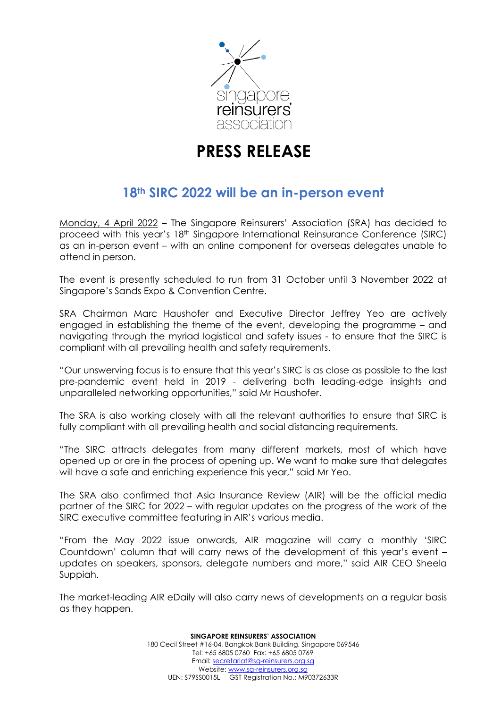

# **PRESS RELEASE**

# **18th SIRC 2022 will be an in-person event**

Monday, 4 April 2022 – The Singapore Reinsurers' Association (SRA) has decided to proceed with this year's 18<sup>th</sup> Singapore International Reinsurance Conference (SIRC) as an in-person event – with an online component for overseas delegates unable to attend in person.

The event is presently scheduled to run from 31 October until 3 November 2022 at Singapore's Sands Expo & Convention Centre.

SRA Chairman Marc Haushofer and Executive Director Jeffrey Yeo are actively engaged in establishing the theme of the event, developing the programme – and navigating through the myriad logistical and safety issues - to ensure that the SIRC is compliant with all prevailing health and safety requirements.

"Our unswerving focus is to ensure that this year's SIRC is as close as possible to the last pre-pandemic event held in 2019 - delivering both leading-edge insights and unparalleled networking opportunities," said Mr Haushofer.

The SRA is also working closely with all the relevant authorities to ensure that SIRC is fully compliant with all prevailing health and social distancing requirements.

"The SIRC attracts delegates from many different markets, most of which have opened up or are in the process of opening up. We want to make sure that delegates will have a safe and enriching experience this year," said Mr Yeo.

The SRA also confirmed that Asia Insurance Review (AIR) will be the official media partner of the SIRC for 2022 – with regular updates on the progress of the work of the SIRC executive committee featuring in AIR's various media.

"From the May 2022 issue onwards, AIR magazine will carry a monthly 'SIRC Countdown' column that will carry news of the development of this year's event – updates on speakers, sponsors, delegate numbers and more," said AIR CEO Sheela Suppiah.

The market-leading AIR eDaily will also carry news of developments on a regular basis as they happen.